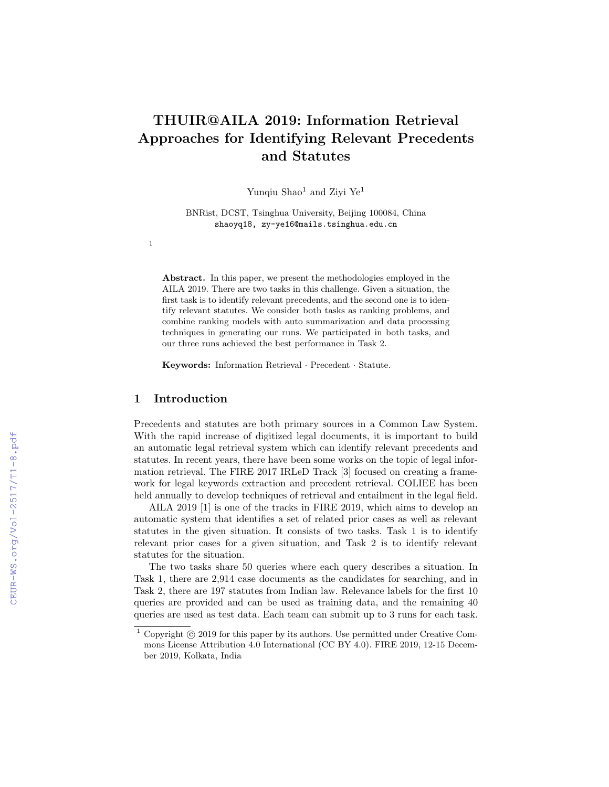# THUIR@AILA 2019: Information Retrieval Approaches for Identifying Relevant Precedents and Statutes

Yunqiu Shao<sup>1</sup> and Ziyi Ye<sup>1</sup>

BNRist, DCST, Tsinghua University, Beijing 100084, China shaoyq18, zy-ye16@mails.tsinghua.edu.cn

Abstract. In this paper, we present the methodologies employed in the AILA 2019. There are two tasks in this challenge. Given a situation, the first task is to identify relevant precedents, and the second one is to identify relevant statutes. We consider both tasks as ranking problems, and combine ranking models with auto summarization and data processing techniques in generating our runs. We participated in both tasks, and our three runs achieved the best performance in Task 2.

Keywords: Information Retrieval · Precedent · Statute.

## 1 Introduction

1

Precedents and statutes are both primary sources in a Common Law System. With the rapid increase of digitized legal documents, it is important to build an automatic legal retrieval system which can identify relevant precedents and statutes. In recent years, there have been some works on the topic of legal information retrieval. The FIRE 2017 IRLeD Track [3] focused on creating a framework for legal keywords extraction and precedent retrieval. COLIEE has been held annually to develop techniques of retrieval and entailment in the legal field.

AILA 2019 [1] is one of the tracks in FIRE 2019, which aims to develop an automatic system that identifies a set of related prior cases as well as relevant statutes in the given situation. It consists of two tasks. Task 1 is to identify relevant prior cases for a given situation, and Task 2 is to identify relevant statutes for the situation.

The two tasks share 50 queries where each query describes a situation. In Task 1, there are 2,914 case documents as the candidates for searching, and in Task 2, there are 197 statutes from Indian law. Relevance labels for the first 10 queries are provided and can be used as training data, and the remaining 40 queries are used as test data. Each team can submit up to 3 runs for each task.

 $1$  Copyright  $\odot$  2019 for this paper by its authors. Use permitted under Creative Commons License Attribution 4.0 International (CC BY 4.0). FIRE 2019, 12-15 December 2019, Kolkata, India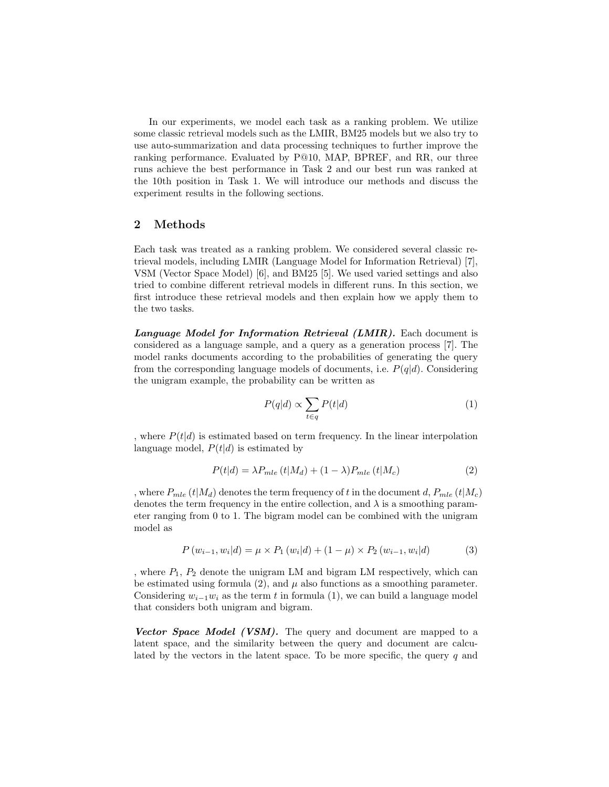In our experiments, we model each task as a ranking problem. We utilize some classic retrieval models such as the LMIR, BM25 models but we also try to use auto-summarization and data processing techniques to further improve the ranking performance. Evaluated by P@10, MAP, BPREF, and RR, our three runs achieve the best performance in Task 2 and our best run was ranked at the 10th position in Task 1. We will introduce our methods and discuss the experiment results in the following sections.

## 2 Methods

Each task was treated as a ranking problem. We considered several classic retrieval models, including LMIR (Language Model for Information Retrieval) [7], VSM (Vector Space Model) [6], and BM25 [5]. We used varied settings and also tried to combine different retrieval models in different runs. In this section, we first introduce these retrieval models and then explain how we apply them to the two tasks.

Language Model for Information Retrieval (LMIR). Each document is considered as a language sample, and a query as a generation process [7]. The model ranks documents according to the probabilities of generating the query from the corresponding language models of documents, i.e.  $P(q|d)$ . Considering the unigram example, the probability can be written as

$$
P(q|d) \propto \sum_{t \in q} P(t|d) \tag{1}
$$

, where  $P(t|d)$  is estimated based on term frequency. In the linear interpolation language model,  $P(t|d)$  is estimated by

$$
P(t|d) = \lambda P_{mle}(t|M_d) + (1 - \lambda)P_{mle}(t|M_c)
$$
\n(2)

, where  $P_{mle}(t|M_d)$  denotes the term frequency of t in the document d,  $P_{mle}(t|M_c)$ denotes the term frequency in the entire collection, and  $\lambda$  is a smoothing parameter ranging from 0 to 1. The bigram model can be combined with the unigram model as

$$
P(w_{i-1}, w_i|d) = \mu \times P_1(w_i|d) + (1 - \mu) \times P_2(w_{i-1}, w_i|d)
$$
 (3)

, where  $P_1$ ,  $P_2$  denote the unigram LM and bigram LM respectively, which can be estimated using formula (2), and  $\mu$  also functions as a smoothing parameter. Considering  $w_{i-1}w_i$  as the term t in formula (1), we can build a language model that considers both unigram and bigram.

Vector Space Model (VSM). The query and document are mapped to a latent space, and the similarity between the query and document are calculated by the vectors in the latent space. To be more specific, the query  $q$  and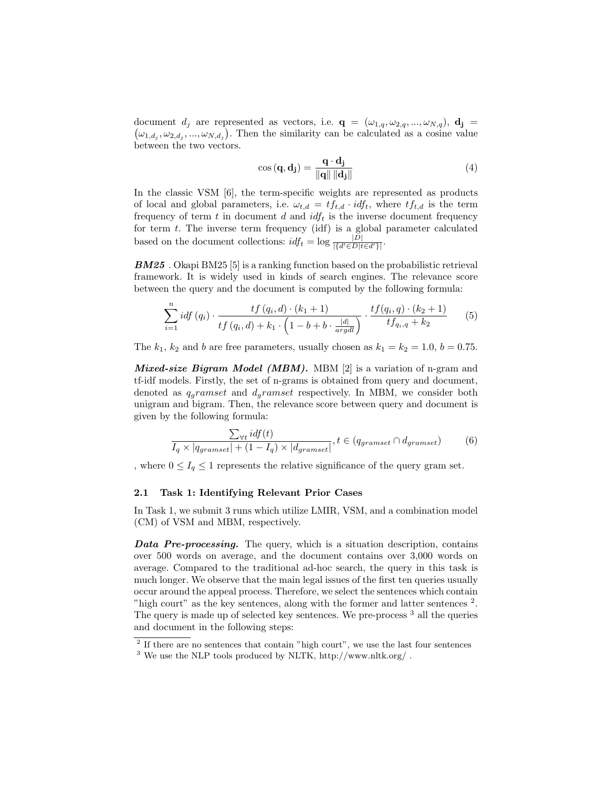document  $d_j$  are represented as vectors, i.e.  $\mathbf{q} = (\omega_{1,q}, \omega_{2,q}, ..., \omega_{N,q}), \mathbf{d_j} =$  $(\omega_{1,d_j}, \omega_{2,d_j}, ..., \omega_{N,d_j})$ . Then the similarity can be calculated as a cosine value between the two vectors.

$$
\cos\left(\mathbf{q}, \mathbf{d_j}\right) = \frac{\mathbf{q} \cdot \mathbf{d_j}}{\|\mathbf{q}\| \|\mathbf{d_j}\|} \tag{4}
$$

In the classic VSM [6], the term-specific weights are represented as products of local and global parameters, i.e.  $\omega_{t,d} = tf_{t,d} \cdot idf_t$ , where  $tf_{t,d}$  is the term frequency of term  $t$  in document  $d$  and  $\textit{idf}_t$  is the inverse document frequency for term t. The inverse term frequency (idf) is a global parameter calculated based on the document collections:  $idf_t = \log \frac{|D|}{\{d' \in D | t \in d'\}}$ .

BM25 . Okapi BM25 [5] is a ranking function based on the probabilistic retrieval framework. It is widely used in kinds of search engines. The relevance score between the query and the document is computed by the following formula:

$$
\sum_{i=1}^{n} idf(q_i) \cdot \frac{tf(q_i, d) \cdot (k_1 + 1)}{tf(q_i, d) + k_1 \cdot \left(1 - b + b \cdot \frac{|d|}{argdl}\right)} \cdot \frac{tf(q_i, q) \cdot (k_2 + 1)}{tf_{q_i, q} + k_2}
$$
(5)

The  $k_1$ ,  $k_2$  and b are free parameters, usually chosen as  $k_1 = k_2 = 1.0, b = 0.75$ .

*Mixed-size Bigram Model (MBM)*. MBM  $[2]$  is a variation of n-gram and tf-idf models. Firstly, the set of n-grams is obtained from query and document, denoted as  $q_g$ ramset and  $d_g$ ramset respectively. In MBM, we consider both unigram and bigram. Then, the relevance score between query and document is given by the following formula:

$$
\frac{\sum_{\forall t} idf(t)}{I_q \times |q_{gramset}| + (1 - I_q) \times |d_{gramset}|}, t \in (q_{gramset} \cap d_{gramset}) \tag{6}
$$

, where  $0 \leq I_q \leq 1$  represents the relative significance of the query gram set.

#### 2.1 Task 1: Identifying Relevant Prior Cases

In Task 1, we submit 3 runs which utilize LMIR, VSM, and a combination model (CM) of VSM and MBM, respectively.

Data Pre-processing. The query, which is a situation description, contains over 500 words on average, and the document contains over 3,000 words on average. Compared to the traditional ad-hoc search, the query in this task is much longer. We observe that the main legal issues of the first ten queries usually occur around the appeal process. Therefore, we select the sentences which contain "high court" as the key sentences, along with the former and latter sentences<sup>2</sup>. The query is made up of selected key sentences. We pre-process <sup>3</sup> all the queries and document in the following steps:

<sup>&</sup>lt;sup>2</sup> If there are no sentences that contain "high court", we use the last four sentences

<sup>&</sup>lt;sup>3</sup> We use the NLP tools produced by NLTK, http://www.nltk.org/.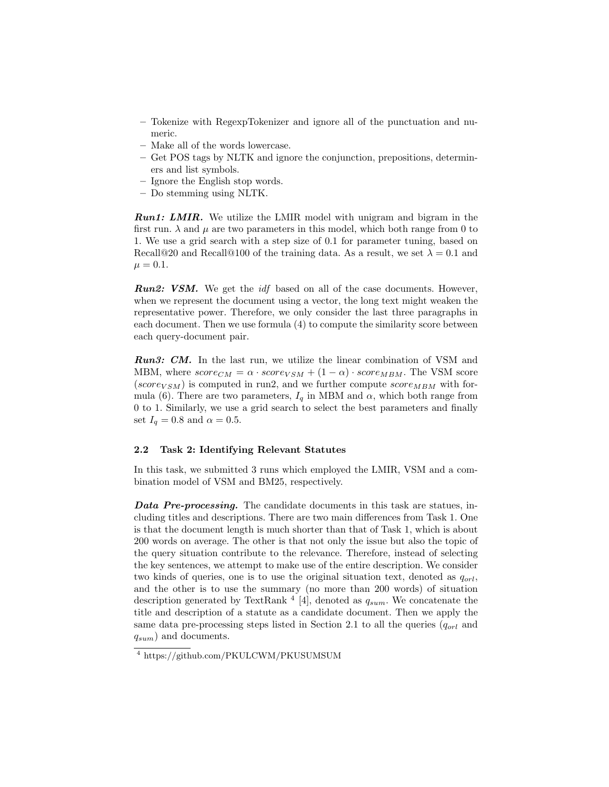- Tokenize with RegexpTokenizer and ignore all of the punctuation and numeric.
- Make all of the words lowercase.
- Get POS tags by NLTK and ignore the conjunction, prepositions, determiners and list symbols.
- Ignore the English stop words.
- Do stemming using NLTK.

**Run1: LMIR.** We utilize the LMIR model with unigram and bigram in the first run.  $\lambda$  and  $\mu$  are two parameters in this model, which both range from 0 to 1. We use a grid search with a step size of 0.1 for parameter tuning, based on Recall@20 and Recall@100 of the training data. As a result, we set  $\lambda = 0.1$  and  $\mu = 0.1.$ 

**Run2: VSM.** We get the *idf* based on all of the case documents. However, when we represent the document using a vector, the long text might weaken the representative power. Therefore, we only consider the last three paragraphs in each document. Then we use formula (4) to compute the similarity score between each query-document pair.

Run3: CM. In the last run, we utilize the linear combination of VSM and MBM, where  $score_{CM} = \alpha \cdot score_{VSM} + (1 - \alpha) \cdot score_{MBM}$ . The VSM score (score<sub>VSM</sub>) is computed in run2, and we further compute  $score_{MBM}$  with formula (6). There are two parameters,  $I_q$  in MBM and  $\alpha$ , which both range from 0 to 1. Similarly, we use a grid search to select the best parameters and finally set  $I_q = 0.8$  and  $\alpha = 0.5$ .

#### 2.2 Task 2: Identifying Relevant Statutes

In this task, we submitted 3 runs which employed the LMIR, VSM and a combination model of VSM and BM25, respectively.

Data Pre-processing. The candidate documents in this task are statues, including titles and descriptions. There are two main differences from Task 1. One is that the document length is much shorter than that of Task 1, which is about 200 words on average. The other is that not only the issue but also the topic of the query situation contribute to the relevance. Therefore, instead of selecting the key sentences, we attempt to make use of the entire description. We consider two kinds of queries, one is to use the original situation text, denoted as  $q_{ort}$ , and the other is to use the summary (no more than 200 words) of situation description generated by TextRank<sup>4</sup> [4], denoted as  $q_{sum}$ . We concatenate the title and description of a statute as a candidate document. Then we apply the same data pre-processing steps listed in Section 2.1 to all the queries  $(q_{orl}$  and  $q_{sum}$ ) and documents.

<sup>4</sup> https://github.com/PKULCWM/PKUSUMSUM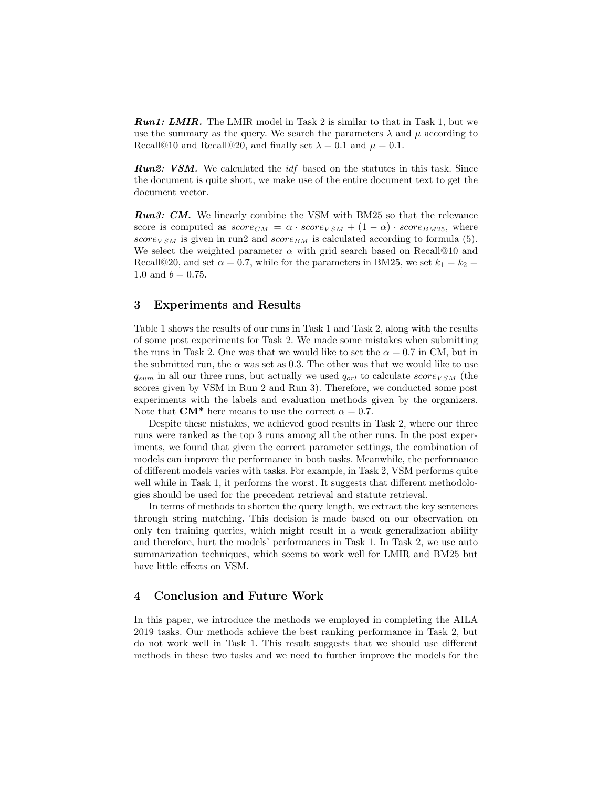**Run1: LMIR.** The LMIR model in Task 2 is similar to that in Task 1, but we use the summary as the query. We search the parameters  $\lambda$  and  $\mu$  according to Recall@10 and Recall@20, and finally set  $\lambda = 0.1$  and  $\mu = 0.1$ .

**Run2: VSM.** We calculated the *idf* based on the statutes in this task. Since the document is quite short, we make use of the entire document text to get the document vector.

**Run3: CM.** We linearly combine the VSM with BM25 so that the relevance score is computed as  $score_{CM} = \alpha \cdot score_{VSM} + (1 - \alpha) \cdot score_{BM25}$ , where score<sub>VSM</sub> is given in run2 and score<sub>BM</sub> is calculated according to formula (5). We select the weighted parameter  $\alpha$  with grid search based on Recall@10 and Recall@20, and set  $\alpha = 0.7$ , while for the parameters in BM25, we set  $k_1 = k_2 =$ 1.0 and  $b = 0.75$ .

## 3 Experiments and Results

Table 1 shows the results of our runs in Task 1 and Task 2, along with the results of some post experiments for Task 2. We made some mistakes when submitting the runs in Task 2. One was that we would like to set the  $\alpha = 0.7$  in CM, but in the submitted run, the  $\alpha$  was set as 0.3. The other was that we would like to use  $q_{sum}$  in all our three runs, but actually we used  $q_{orl}$  to calculate score<sub>VSM</sub> (the scores given by VSM in Run 2 and Run 3). Therefore, we conducted some post experiments with the labels and evaluation methods given by the organizers. Note that  $CM^*$  here means to use the correct  $\alpha = 0.7$ .

Despite these mistakes, we achieved good results in Task 2, where our three runs were ranked as the top 3 runs among all the other runs. In the post experiments, we found that given the correct parameter settings, the combination of models can improve the performance in both tasks. Meanwhile, the performance of different models varies with tasks. For example, in Task 2, VSM performs quite well while in Task 1, it performs the worst. It suggests that different methodologies should be used for the precedent retrieval and statute retrieval.

In terms of methods to shorten the query length, we extract the key sentences through string matching. This decision is made based on our observation on only ten training queries, which might result in a weak generalization ability and therefore, hurt the models' performances in Task 1. In Task 2, we use auto summarization techniques, which seems to work well for LMIR and BM25 but have little effects on VSM.

## 4 Conclusion and Future Work

In this paper, we introduce the methods we employed in completing the AILA 2019 tasks. Our methods achieve the best ranking performance in Task 2, but do not work well in Task 1. This result suggests that we should use different methods in these two tasks and we need to further improve the models for the